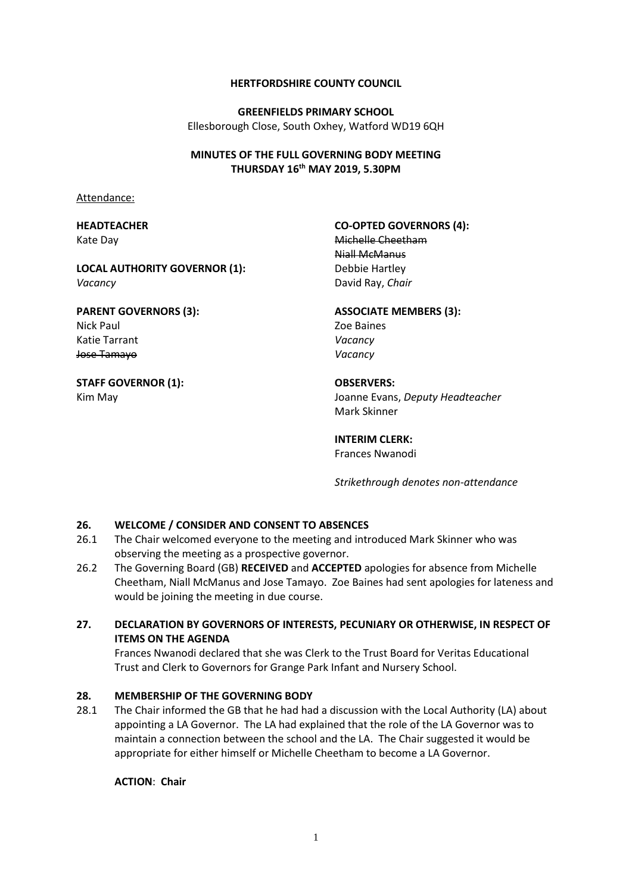#### **HERTFORDSHIRE COUNTY COUNCIL**

**GREENFIELDS PRIMARY SCHOOL** Ellesborough Close, South Oxhey, Watford WD19 6QH

#### **MINUTES OF THE FULL GOVERNING BODY MEETING THURSDAY 16th MAY 2019, 5.30PM**

Attendance:

#### **HEADTEACHER** Kate Day

# **CO-OPTED GOVERNORS (4):**

Niall McManus Debbie Hartley

# **PARENT GOVERNORS (3):** Nick Paul

**LOCAL AUTHORITY GOVERNOR (1):**

Katie Tarrant Jose Tamayo

# **STAFF GOVERNOR (1):**

Kim May

*Vacancy*

Michelle Cheetham David Ray, *Chair*

#### **ASSOCIATE MEMBERS (3):**

Zoe Baines *Vacancy Vacancy*

# **OBSERVERS:**

Joanne Evans, *Deputy Headteacher* Mark Skinner

# **INTERIM CLERK:**

Frances Nwanodi

*Strikethrough denotes non-attendance*

# **26. WELCOME / CONSIDER AND CONSENT TO ABSENCES**

- 26.1 The Chair welcomed everyone to the meeting and introduced Mark Skinner who was observing the meeting as a prospective governor.
- 26.2 The Governing Board (GB) **RECEIVED** and **ACCEPTED** apologies for absence from Michelle Cheetham, Niall McManus and Jose Tamayo. Zoe Baines had sent apologies for lateness and would be joining the meeting in due course.

# **27. DECLARATION BY GOVERNORS OF INTERESTS, PECUNIARY OR OTHERWISE, IN RESPECT OF ITEMS ON THE AGENDA**

Frances Nwanodi declared that she was Clerk to the Trust Board for Veritas Educational Trust and Clerk to Governors for Grange Park Infant and Nursery School.

# **28. MEMBERSHIP OF THE GOVERNING BODY**

28.1 The Chair informed the GB that he had had a discussion with the Local Authority (LA) about appointing a LA Governor. The LA had explained that the role of the LA Governor was to maintain a connection between the school and the LA. The Chair suggested it would be appropriate for either himself or Michelle Cheetham to become a LA Governor.

**ACTION**: **Chair**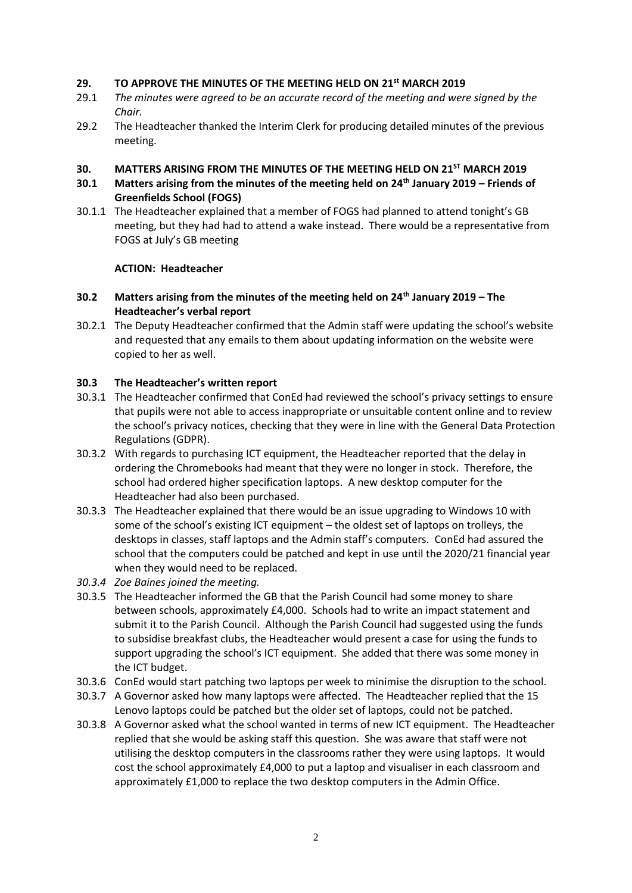#### **29. TO APPROVE THE MINUTES OF THE MEETING HELD ON 21st MARCH 2019**

- 29.1 *The minutes were agreed to be an accurate record of the meeting and were signed by the Chair.*
- 29.2 The Headteacher thanked the Interim Clerk for producing detailed minutes of the previous meeting.

#### **30. MATTERS ARISING FROM THE MINUTES OF THE MEETING HELD ON 21ST MARCH 2019**

- **30.1 Matters arising from the minutes of the meeting held on 24th January 2019 – Friends of Greenfields School (FOGS)**
- 30.1.1 The Headteacher explained that a member of FOGS had planned to attend tonight's GB meeting, but they had had to attend a wake instead. There would be a representative from FOGS at July's GB meeting

#### **ACTION: Headteacher**

#### **30.2 Matters arising from the minutes of the meeting held on 24th January 2019 – The Headteacher's verbal report**

30.2.1 The Deputy Headteacher confirmed that the Admin staff were updating the school's website and requested that any emails to them about updating information on the website were copied to her as well.

#### **30.3 The Headteacher's written report**

- 30.3.1 The Headteacher confirmed that ConEd had reviewed the school's privacy settings to ensure that pupils were not able to access inappropriate or unsuitable content online and to review the school's privacy notices, checking that they were in line with the General Data Protection Regulations (GDPR).
- 30.3.2 With regards to purchasing ICT equipment, the Headteacher reported that the delay in ordering the Chromebooks had meant that they were no longer in stock. Therefore, the school had ordered higher specification laptops. A new desktop computer for the Headteacher had also been purchased.
- 30.3.3 The Headteacher explained that there would be an issue upgrading to Windows 10 with some of the school's existing ICT equipment – the oldest set of laptops on trolleys, the desktops in classes, staff laptops and the Admin staff's computers. ConEd had assured the school that the computers could be patched and kept in use until the 2020/21 financial year when they would need to be replaced.
- *30.3.4 Zoe Baines joined the meeting.*
- 30.3.5 The Headteacher informed the GB that the Parish Council had some money to share between schools, approximately £4,000. Schools had to write an impact statement and submit it to the Parish Council. Although the Parish Council had suggested using the funds to subsidise breakfast clubs, the Headteacher would present a case for using the funds to support upgrading the school's ICT equipment. She added that there was some money in the ICT budget.
- 30.3.6 ConEd would start patching two laptops per week to minimise the disruption to the school.
- 30.3.7 A Governor asked how many laptops were affected. The Headteacher replied that the 15 Lenovo laptops could be patched but the older set of laptops, could not be patched.
- 30.3.8 A Governor asked what the school wanted in terms of new ICT equipment. The Headteacher replied that she would be asking staff this question. She was aware that staff were not utilising the desktop computers in the classrooms rather they were using laptops. It would cost the school approximately £4,000 to put a laptop and visualiser in each classroom and approximately £1,000 to replace the two desktop computers in the Admin Office.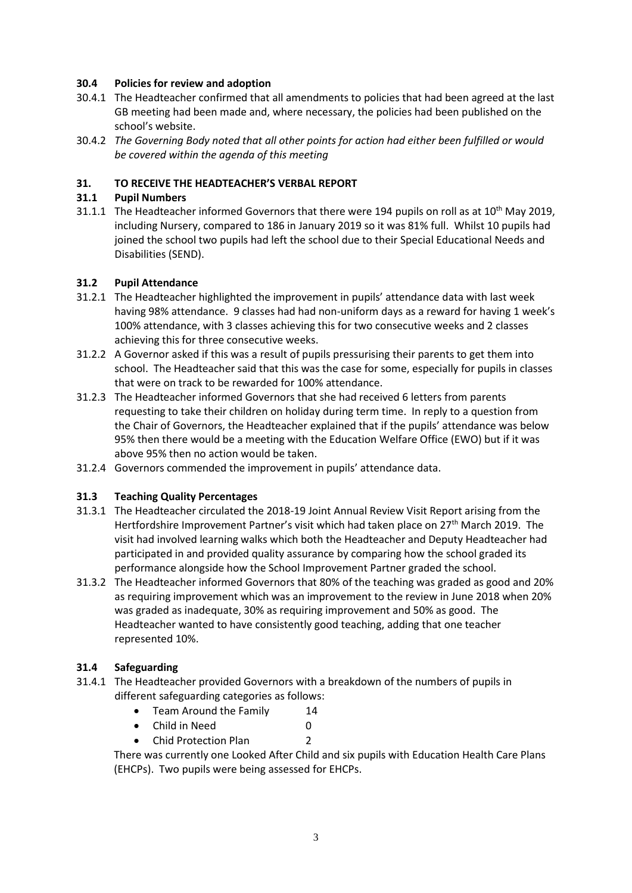#### **30.4 Policies for review and adoption**

- 30.4.1 The Headteacher confirmed that all amendments to policies that had been agreed at the last GB meeting had been made and, where necessary, the policies had been published on the school's website.
- 30.4.2 *The Governing Body noted that all other points for action had either been fulfilled or would be covered within the agenda of this meeting*

#### **31. TO RECEIVE THE HEADTEACHER'S VERBAL REPORT**

#### **31.1 Pupil Numbers**

31.1.1 The Headteacher informed Governors that there were 194 pupils on roll as at  $10^{th}$  May 2019, including Nursery, compared to 186 in January 2019 so it was 81% full. Whilst 10 pupils had joined the school two pupils had left the school due to their Special Educational Needs and Disabilities (SEND).

#### **31.2 Pupil Attendance**

- 31.2.1 The Headteacher highlighted the improvement in pupils' attendance data with last week having 98% attendance. 9 classes had had non-uniform days as a reward for having 1 week's 100% attendance, with 3 classes achieving this for two consecutive weeks and 2 classes achieving this for three consecutive weeks.
- 31.2.2 A Governor asked if this was a result of pupils pressurising their parents to get them into school. The Headteacher said that this was the case for some, especially for pupils in classes that were on track to be rewarded for 100% attendance.
- 31.2.3 The Headteacher informed Governors that she had received 6 letters from parents requesting to take their children on holiday during term time. In reply to a question from the Chair of Governors, the Headteacher explained that if the pupils' attendance was below 95% then there would be a meeting with the Education Welfare Office (EWO) but if it was above 95% then no action would be taken.
- 31.2.4 Governors commended the improvement in pupils' attendance data.

#### **31.3 Teaching Quality Percentages**

- 31.3.1 The Headteacher circulated the 2018-19 Joint Annual Review Visit Report arising from the Hertfordshire Improvement Partner's visit which had taken place on 27<sup>th</sup> March 2019. The visit had involved learning walks which both the Headteacher and Deputy Headteacher had participated in and provided quality assurance by comparing how the school graded its performance alongside how the School Improvement Partner graded the school.
- 31.3.2 The Headteacher informed Governors that 80% of the teaching was graded as good and 20% as requiring improvement which was an improvement to the review in June 2018 when 20% was graded as inadequate, 30% as requiring improvement and 50% as good. The Headteacher wanted to have consistently good teaching, adding that one teacher represented 10%.

# **31.4 Safeguarding**

- 31.4.1 The Headteacher provided Governors with a breakdown of the numbers of pupils in different safeguarding categories as follows:
	- Team Around the Family 14
	- Child in Need 0
	- Chid Protection Plan 2

There was currently one Looked After Child and six pupils with Education Health Care Plans (EHCPs). Two pupils were being assessed for EHCPs.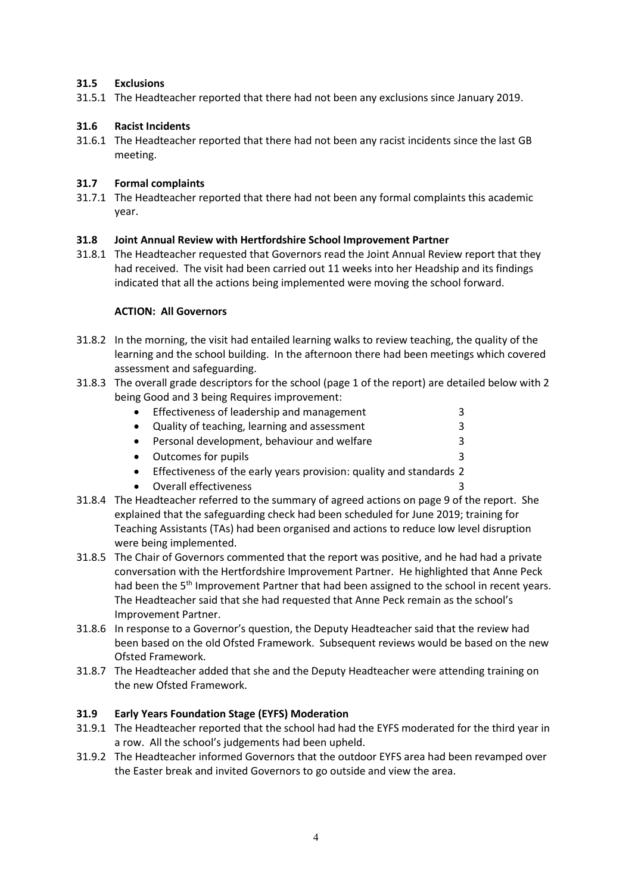#### **31.5 Exclusions**

31.5.1 The Headteacher reported that there had not been any exclusions since January 2019.

#### **31.6 Racist Incidents**

31.6.1 The Headteacher reported that there had not been any racist incidents since the last GB meeting.

# **31.7 Formal complaints**

31.7.1 The Headteacher reported that there had not been any formal complaints this academic year.

#### **31.8 Joint Annual Review with Hertfordshire School Improvement Partner**

31.8.1 The Headteacher requested that Governors read the Joint Annual Review report that they had received. The visit had been carried out 11 weeks into her Headship and its findings indicated that all the actions being implemented were moving the school forward.

#### **ACTION: All Governors**

- 31.8.2 In the morning, the visit had entailed learning walks to review teaching, the quality of the learning and the school building. In the afternoon there had been meetings which covered assessment and safeguarding.
- 31.8.3 The overall grade descriptors for the school (page 1 of the report) are detailed below with 2 being Good and 3 being Requires improvement:

|           | • Effectiveness of leadership and management                          | 3 |
|-----------|-----------------------------------------------------------------------|---|
| $\bullet$ | Quality of teaching, learning and assessment                          | 3 |
| $\bullet$ | Personal development, behaviour and welfare                           | 3 |
|           | • Outcomes for pupils                                                 | 3 |
|           | • Effectiveness of the early years provision: quality and standards 2 |   |
|           | • Overall effectiveness                                               | 3 |

- 31.8.4 The Headteacher referred to the summary of agreed actions on page 9 of the report. She explained that the safeguarding check had been scheduled for June 2019; training for Teaching Assistants (TAs) had been organised and actions to reduce low level disruption were being implemented.
- 31.8.5 The Chair of Governors commented that the report was positive, and he had had a private conversation with the Hertfordshire Improvement Partner. He highlighted that Anne Peck had been the 5<sup>th</sup> Improvement Partner that had been assigned to the school in recent years. The Headteacher said that she had requested that Anne Peck remain as the school's Improvement Partner.
- 31.8.6 In response to a Governor's question, the Deputy Headteacher said that the review had been based on the old Ofsted Framework. Subsequent reviews would be based on the new Ofsted Framework.
- 31.8.7 The Headteacher added that she and the Deputy Headteacher were attending training on the new Ofsted Framework.

# **31.9 Early Years Foundation Stage (EYFS) Moderation**

- 31.9.1 The Headteacher reported that the school had had the EYFS moderated for the third year in a row. All the school's judgements had been upheld.
- 31.9.2 The Headteacher informed Governors that the outdoor EYFS area had been revamped over the Easter break and invited Governors to go outside and view the area.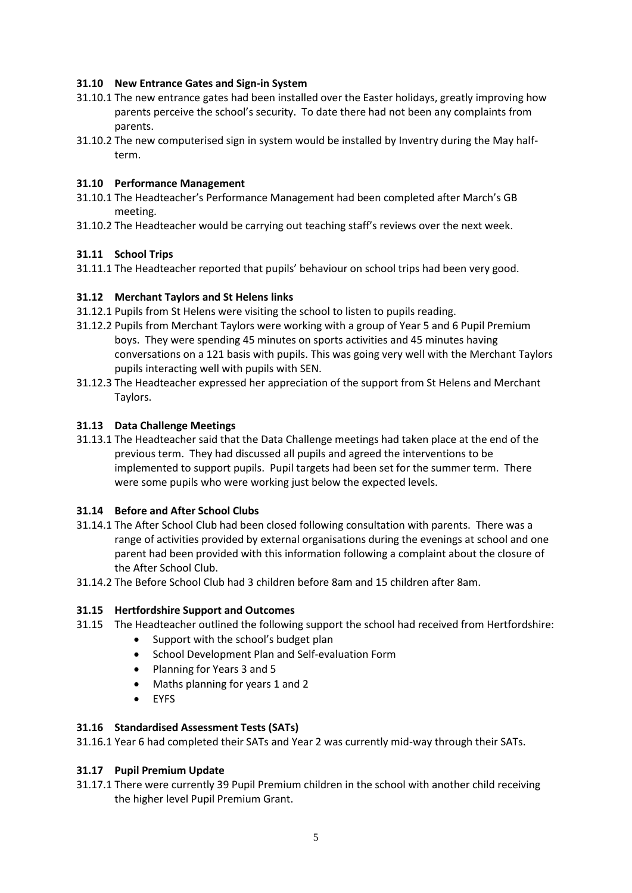# **31.10 New Entrance Gates and Sign-in System**

- 31.10.1 The new entrance gates had been installed over the Easter holidays, greatly improving how parents perceive the school's security. To date there had not been any complaints from parents.
- 31.10.2 The new computerised sign in system would be installed by Inventry during the May halfterm.

# **31.10 Performance Management**

- 31.10.1 The Headteacher's Performance Management had been completed after March's GB meeting.
- 31.10.2 The Headteacher would be carrying out teaching staff's reviews over the next week.

# **31.11 School Trips**

31.11.1 The Headteacher reported that pupils' behaviour on school trips had been very good.

# **31.12 Merchant Taylors and St Helens links**

- 31.12.1 Pupils from St Helens were visiting the school to listen to pupils reading.
- 31.12.2 Pupils from Merchant Taylors were working with a group of Year 5 and 6 Pupil Premium boys. They were spending 45 minutes on sports activities and 45 minutes having conversations on a 121 basis with pupils. This was going very well with the Merchant Taylors pupils interacting well with pupils with SEN.
- 31.12.3 The Headteacher expressed her appreciation of the support from St Helens and Merchant Taylors.

# **31.13 Data Challenge Meetings**

31.13.1 The Headteacher said that the Data Challenge meetings had taken place at the end of the previous term. They had discussed all pupils and agreed the interventions to be implemented to support pupils. Pupil targets had been set for the summer term. There were some pupils who were working just below the expected levels.

# **31.14 Before and After School Clubs**

- 31.14.1 The After School Club had been closed following consultation with parents. There was a range of activities provided by external organisations during the evenings at school and one parent had been provided with this information following a complaint about the closure of the After School Club.
- 31.14.2 The Before School Club had 3 children before 8am and 15 children after 8am.

# **31.15 Hertfordshire Support and Outcomes**

- 31.15 The Headteacher outlined the following support the school had received from Hertfordshire:
	- Support with the school's budget plan
	- School Development Plan and Self-evaluation Form
	- Planning for Years 3 and 5
	- Maths planning for years 1 and 2
	- EYFS

# **31.16 Standardised Assessment Tests (SATs)**

31.16.1 Year 6 had completed their SATs and Year 2 was currently mid-way through their SATs.

# **31.17 Pupil Premium Update**

31.17.1 There were currently 39 Pupil Premium children in the school with another child receiving the higher level Pupil Premium Grant.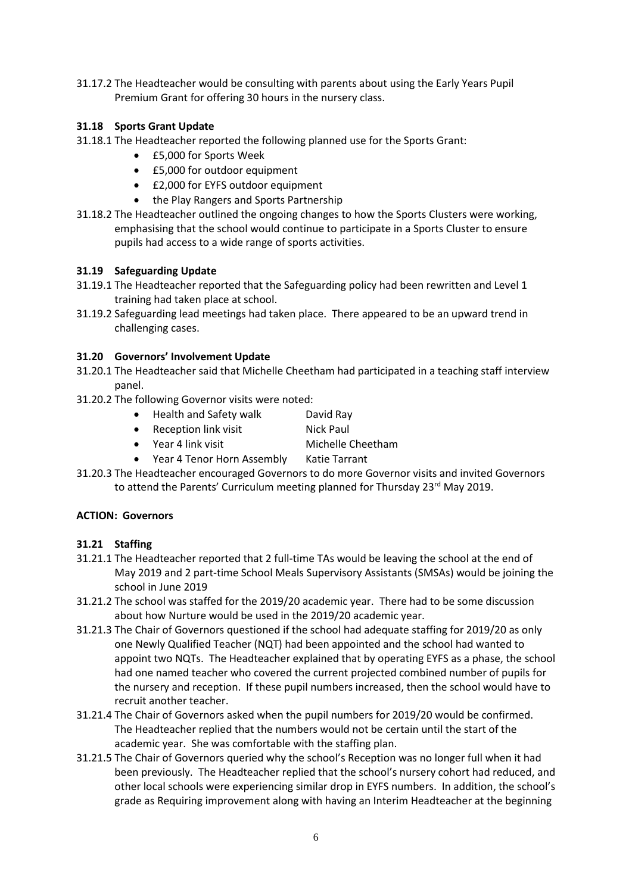31.17.2 The Headteacher would be consulting with parents about using the Early Years Pupil Premium Grant for offering 30 hours in the nursery class.

# **31.18 Sports Grant Update**

- 31.18.1 The Headteacher reported the following planned use for the Sports Grant:
	- £5,000 for Sports Week
	- £5,000 for outdoor equipment
	- £2,000 for EYFS outdoor equipment
	- the Play Rangers and Sports Partnership
- 31.18.2 The Headteacher outlined the ongoing changes to how the Sports Clusters were working, emphasising that the school would continue to participate in a Sports Cluster to ensure pupils had access to a wide range of sports activities.

#### **31.19 Safeguarding Update**

- 31.19.1 The Headteacher reported that the Safeguarding policy had been rewritten and Level 1 training had taken place at school.
- 31.19.2 Safeguarding lead meetings had taken place. There appeared to be an upward trend in challenging cases.

#### **31.20 Governors' Involvement Update**

- 31.20.1 The Headteacher said that Michelle Cheetham had participated in a teaching staff interview panel.
- 31.20.2 The following Governor visits were noted:
	- Health and Safety walk David Ray
	- Reception link visit Nick Paul
	- Year 4 link visit Michelle Cheetham
	- Year 4 Tenor Horn Assembly Katie Tarrant
- 31.20.3 The Headteacher encouraged Governors to do more Governor visits and invited Governors to attend the Parents' Curriculum meeting planned for Thursday 23<sup>rd</sup> May 2019.

#### **ACTION: Governors**

# **31.21 Staffing**

- 31.21.1 The Headteacher reported that 2 full-time TAs would be leaving the school at the end of May 2019 and 2 part-time School Meals Supervisory Assistants (SMSAs) would be joining the school in June 2019
- 31.21.2 The school was staffed for the 2019/20 academic year. There had to be some discussion about how Nurture would be used in the 2019/20 academic year.
- 31.21.3 The Chair of Governors questioned if the school had adequate staffing for 2019/20 as only one Newly Qualified Teacher (NQT) had been appointed and the school had wanted to appoint two NQTs. The Headteacher explained that by operating EYFS as a phase, the school had one named teacher who covered the current projected combined number of pupils for the nursery and reception. If these pupil numbers increased, then the school would have to recruit another teacher.
- 31.21.4 The Chair of Governors asked when the pupil numbers for 2019/20 would be confirmed. The Headteacher replied that the numbers would not be certain until the start of the academic year. She was comfortable with the staffing plan.
- 31.21.5 The Chair of Governors queried why the school's Reception was no longer full when it had been previously. The Headteacher replied that the school's nursery cohort had reduced, and other local schools were experiencing similar drop in EYFS numbers. In addition, the school's grade as Requiring improvement along with having an Interim Headteacher at the beginning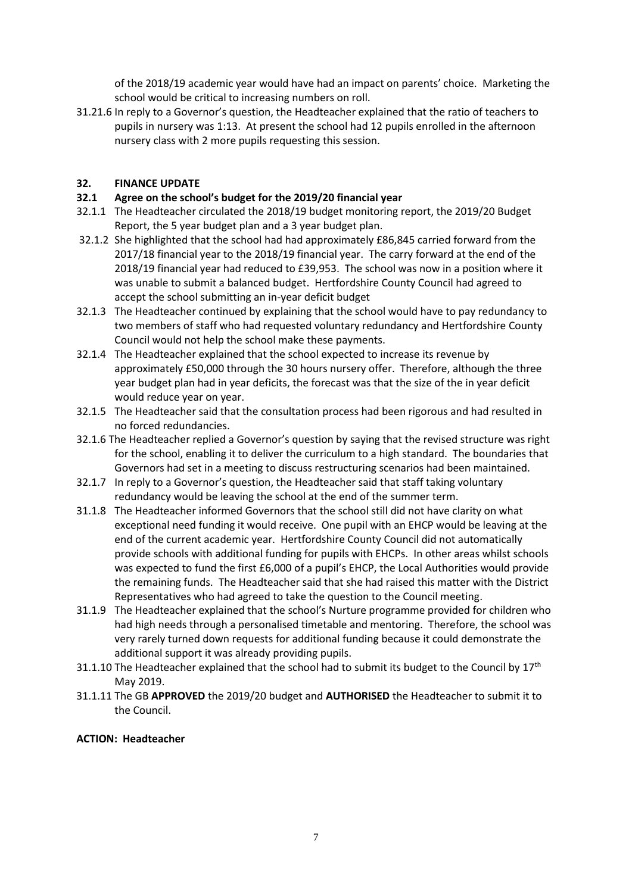of the 2018/19 academic year would have had an impact on parents' choice. Marketing the school would be critical to increasing numbers on roll.

31.21.6 In reply to a Governor's question, the Headteacher explained that the ratio of teachers to pupils in nursery was 1:13. At present the school had 12 pupils enrolled in the afternoon nursery class with 2 more pupils requesting this session.

# **32. FINANCE UPDATE**

#### **32.1 Agree on the school's budget for the 2019/20 financial year**

- 32.1.1 The Headteacher circulated the 2018/19 budget monitoring report, the 2019/20 Budget Report, the 5 year budget plan and a 3 year budget plan.
- 32.1.2 She highlighted that the school had had approximately £86,845 carried forward from the 2017/18 financial year to the 2018/19 financial year. The carry forward at the end of the 2018/19 financial year had reduced to £39,953. The school was now in a position where it was unable to submit a balanced budget. Hertfordshire County Council had agreed to accept the school submitting an in-year deficit budget
- 32.1.3 The Headteacher continued by explaining that the school would have to pay redundancy to two members of staff who had requested voluntary redundancy and Hertfordshire County Council would not help the school make these payments.
- 32.1.4 The Headteacher explained that the school expected to increase its revenue by approximately £50,000 through the 30 hours nursery offer. Therefore, although the three year budget plan had in year deficits, the forecast was that the size of the in year deficit would reduce year on year.
- 32.1.5 The Headteacher said that the consultation process had been rigorous and had resulted in no forced redundancies.
- 32.1.6 The Headteacher replied a Governor's question by saying that the revised structure was right for the school, enabling it to deliver the curriculum to a high standard. The boundaries that Governors had set in a meeting to discuss restructuring scenarios had been maintained.
- 32.1.7 In reply to a Governor's question, the Headteacher said that staff taking voluntary redundancy would be leaving the school at the end of the summer term.
- 31.1.8 The Headteacher informed Governors that the school still did not have clarity on what exceptional need funding it would receive. One pupil with an EHCP would be leaving at the end of the current academic year. Hertfordshire County Council did not automatically provide schools with additional funding for pupils with EHCPs. In other areas whilst schools was expected to fund the first £6,000 of a pupil's EHCP, the Local Authorities would provide the remaining funds. The Headteacher said that she had raised this matter with the District Representatives who had agreed to take the question to the Council meeting.
- 31.1.9 The Headteacher explained that the school's Nurture programme provided for children who had high needs through a personalised timetable and mentoring. Therefore, the school was very rarely turned down requests for additional funding because it could demonstrate the additional support it was already providing pupils.
- 31.1.10 The Headteacher explained that the school had to submit its budget to the Council by 17<sup>th</sup> May 2019.
- 31.1.11 The GB **APPROVED** the 2019/20 budget and **AUTHORISED** the Headteacher to submit it to the Council.

#### **ACTION: Headteacher**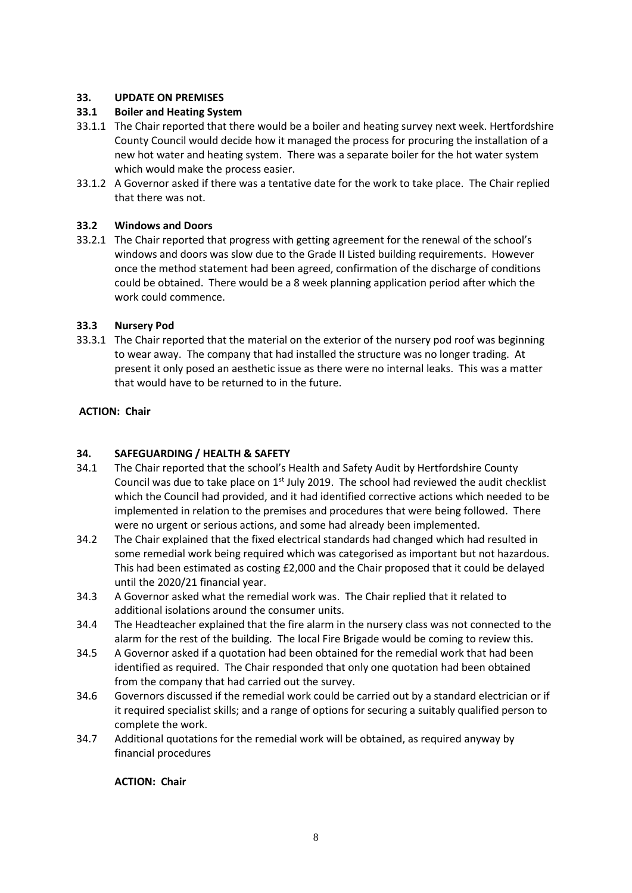# **33. UPDATE ON PREMISES**

# **33.1 Boiler and Heating System**

- 33.1.1 The Chair reported that there would be a boiler and heating survey next week. Hertfordshire County Council would decide how it managed the process for procuring the installation of a new hot water and heating system. There was a separate boiler for the hot water system which would make the process easier.
- 33.1.2 A Governor asked if there was a tentative date for the work to take place. The Chair replied that there was not.

# **33.2 Windows and Doors**

33.2.1 The Chair reported that progress with getting agreement for the renewal of the school's windows and doors was slow due to the Grade II Listed building requirements. However once the method statement had been agreed, confirmation of the discharge of conditions could be obtained. There would be a 8 week planning application period after which the work could commence.

#### **33.3 Nursery Pod**

33.3.1 The Chair reported that the material on the exterior of the nursery pod roof was beginning to wear away. The company that had installed the structure was no longer trading. At present it only posed an aesthetic issue as there were no internal leaks. This was a matter that would have to be returned to in the future.

#### **ACTION: Chair**

# **34. SAFEGUARDING / HEALTH & SAFETY**

- 34.1 The Chair reported that the school's Health and Safety Audit by Hertfordshire County Council was due to take place on  $1<sup>st</sup>$  July 2019. The school had reviewed the audit checklist which the Council had provided, and it had identified corrective actions which needed to be implemented in relation to the premises and procedures that were being followed. There were no urgent or serious actions, and some had already been implemented.
- 34.2 The Chair explained that the fixed electrical standards had changed which had resulted in some remedial work being required which was categorised as important but not hazardous. This had been estimated as costing £2,000 and the Chair proposed that it could be delayed until the 2020/21 financial year.
- 34.3 A Governor asked what the remedial work was. The Chair replied that it related to additional isolations around the consumer units.
- 34.4 The Headteacher explained that the fire alarm in the nursery class was not connected to the alarm for the rest of the building. The local Fire Brigade would be coming to review this.
- 34.5 A Governor asked if a quotation had been obtained for the remedial work that had been identified as required. The Chair responded that only one quotation had been obtained from the company that had carried out the survey.
- 34.6 Governors discussed if the remedial work could be carried out by a standard electrician or if it required specialist skills; and a range of options for securing a suitably qualified person to complete the work.
- 34.7 Additional quotations for the remedial work will be obtained, as required anyway by financial procedures

#### **ACTION: Chair**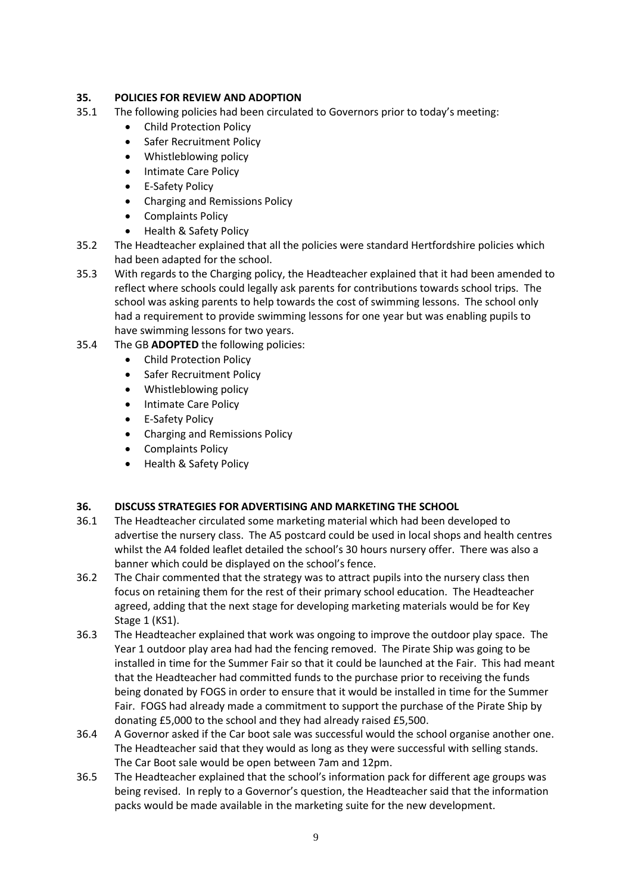# **35. POLICIES FOR REVIEW AND ADOPTION**

- 35.1 The following policies had been circulated to Governors prior to today's meeting:
	- Child Protection Policy
	- Safer Recruitment Policy
	- Whistleblowing policy
	- Intimate Care Policy
	- E-Safety Policy
	- Charging and Remissions Policy
	- Complaints Policy
	- Health & Safety Policy
- 35.2 The Headteacher explained that all the policies were standard Hertfordshire policies which had been adapted for the school.
- 35.3 With regards to the Charging policy, the Headteacher explained that it had been amended to reflect where schools could legally ask parents for contributions towards school trips. The school was asking parents to help towards the cost of swimming lessons. The school only had a requirement to provide swimming lessons for one year but was enabling pupils to have swimming lessons for two years.
- 35.4 The GB **ADOPTED** the following policies:
	- Child Protection Policy
	- Safer Recruitment Policy
	- Whistleblowing policy
	- Intimate Care Policy
	- E-Safety Policy
	- Charging and Remissions Policy
	- Complaints Policy
	- Health & Safety Policy

# **36. DISCUSS STRATEGIES FOR ADVERTISING AND MARKETING THE SCHOOL**

- 36.1 The Headteacher circulated some marketing material which had been developed to advertise the nursery class. The A5 postcard could be used in local shops and health centres whilst the A4 folded leaflet detailed the school's 30 hours nursery offer. There was also a banner which could be displayed on the school's fence.
- 36.2 The Chair commented that the strategy was to attract pupils into the nursery class then focus on retaining them for the rest of their primary school education. The Headteacher agreed, adding that the next stage for developing marketing materials would be for Key Stage 1 (KS1).
- 36.3 The Headteacher explained that work was ongoing to improve the outdoor play space. The Year 1 outdoor play area had had the fencing removed. The Pirate Ship was going to be installed in time for the Summer Fair so that it could be launched at the Fair. This had meant that the Headteacher had committed funds to the purchase prior to receiving the funds being donated by FOGS in order to ensure that it would be installed in time for the Summer Fair. FOGS had already made a commitment to support the purchase of the Pirate Ship by donating £5,000 to the school and they had already raised £5,500.
- 36.4 A Governor asked if the Car boot sale was successful would the school organise another one. The Headteacher said that they would as long as they were successful with selling stands. The Car Boot sale would be open between 7am and 12pm.
- 36.5 The Headteacher explained that the school's information pack for different age groups was being revised. In reply to a Governor's question, the Headteacher said that the information packs would be made available in the marketing suite for the new development.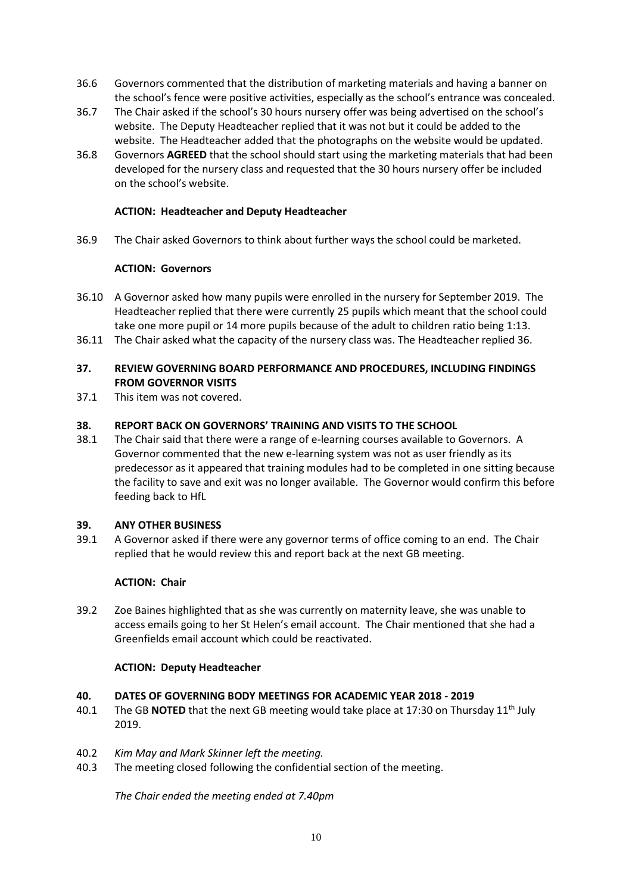- 36.6 Governors commented that the distribution of marketing materials and having a banner on the school's fence were positive activities, especially as the school's entrance was concealed.
- 36.7 The Chair asked if the school's 30 hours nursery offer was being advertised on the school's website. The Deputy Headteacher replied that it was not but it could be added to the website. The Headteacher added that the photographs on the website would be updated.
- 36.8 Governors **AGREED** that the school should start using the marketing materials that had been developed for the nursery class and requested that the 30 hours nursery offer be included on the school's website.

#### **ACTION: Headteacher and Deputy Headteacher**

36.9 The Chair asked Governors to think about further ways the school could be marketed.

#### **ACTION: Governors**

- 36.10 A Governor asked how many pupils were enrolled in the nursery for September 2019. The Headteacher replied that there were currently 25 pupils which meant that the school could take one more pupil or 14 more pupils because of the adult to children ratio being 1:13.
- 36.11 The Chair asked what the capacity of the nursery class was. The Headteacher replied 36.

#### **37. REVIEW GOVERNING BOARD PERFORMANCE AND PROCEDURES, INCLUDING FINDINGS FROM GOVERNOR VISITS**

37.1 This item was not covered.

#### **38. REPORT BACK ON GOVERNORS' TRAINING AND VISITS TO THE SCHOOL**

38.1 The Chair said that there were a range of e-learning courses available to Governors. A Governor commented that the new e-learning system was not as user friendly as its predecessor as it appeared that training modules had to be completed in one sitting because the facility to save and exit was no longer available. The Governor would confirm this before feeding back to HfL

#### **39. ANY OTHER BUSINESS**

39.1 A Governor asked if there were any governor terms of office coming to an end. The Chair replied that he would review this and report back at the next GB meeting.

# **ACTION: Chair**

39.2 Zoe Baines highlighted that as she was currently on maternity leave, she was unable to access emails going to her St Helen's email account. The Chair mentioned that she had a Greenfields email account which could be reactivated.

#### **ACTION: Deputy Headteacher**

#### **40. DATES OF GOVERNING BODY MEETINGS FOR ACADEMIC YEAR 2018 - 2019**

- 40.1 The GB **NOTED** that the next GB meeting would take place at 17:30 on Thursday 11<sup>th</sup> July 2019.
- 40.2 *Kim May and Mark Skinner left the meeting.*
- 40.3 The meeting closed following the confidential section of the meeting.

*The Chair ended the meeting ended at 7.40pm*